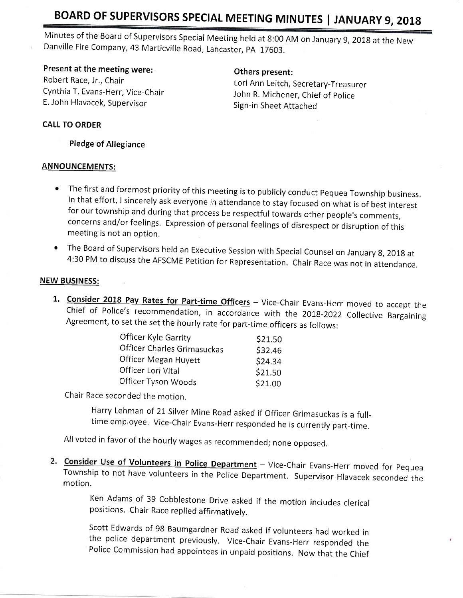# BOARD OF SUPERVISORS SPECIAL MEETING MINUTES | JANUARY 9, 2018

Minutes of the Board of Supervisors Special Meeting held at 8:00 AM on January 9, 2018 at the New Danville Fire Company, 43 Marticville Road, Lancaster, PA 17603.

## Present at the meeting were:

Robert Race, Jr., Chair Cynthia T. Evans-Herr, Vice-Chair E. John Hlavacek, Supervisor

#### Others present:

Lori Ann Leitch, Secretary-Treasurer John R. Michener, Chief of police Sign-in Sheet Attached

#### CALL TO ORDER

Pledge of Allegiance

#### ANNOUNCEMENTS:

- The first and foremost priority of this meeting is to publicly conduct Pequea Township business.<br>In that effort, I sincerely ask everyone in attendance to stay focused on what is of best interest for our township and during that process be respectful towards other people's comments, concerns and/or feelings. Expression of personal feelings of disrespect or disruption of this meeting is not an option.
- <sup>r</sup>The Board of supervisors held an Executive session with special counsel on Januaryg,2olg at 4:30 PM to discuss the AFSCME Petition for Representation. chair Race was not in attendance.

#### NEW BUSINESS:

1. Consider 2018 Pay Rates for Part-time Officers - Vice-Chair Evans-Herr moved to accept the Chief of Police's recommendation, in accordance with the 2018-2022 Collective Bargaining<br>Agreement, to set the set the hourly rate for part-time officers as follows:

| Officer Kyle Garrity        | \$21.50 |
|-----------------------------|---------|
| Officer Charles Grimasuckas | \$32.46 |
| Officer Megan Huyett        | \$24.34 |
| Officer Lori Vital          | \$21.50 |
| Officer Tyson Woods         | \$21.00 |

Chair Race seconded the motion.

Harry Lehman of 21 Silver Mine Road asked if Officer Grimasuckas is a fulltime employee. Vice-Chair Evans-Herr responded he is currently part-time,

All voted in favor of the hourly wages as recommended; none opposed.

Township to not have volunteers in the Police Department. Supervisor Hlavacek seconded the motion. 2. Consider Use of Volunteers in Police Department - Vice-Chair Evans-Herr moved for Pequea

Ken Adams of 39 Cobblestone Drive asked if the motion includes clerical positions. Chair Race replied affirmatively.

scott Edwards of 98 Baumgardner Road asked if volunteers had worked in the police department previously. Vice-chair Evans-Herr responded the Police commission had appointees in unpaid positions. Now that the chief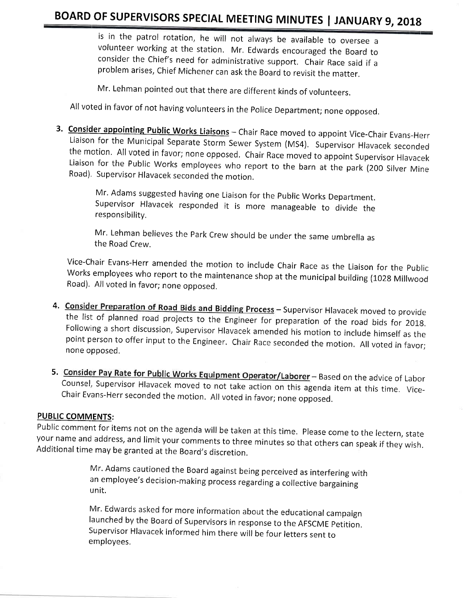is in the patrol rotation, he will not always be available to oversee <sup>a</sup> volunteer working at the station. Mr. Edwards encouraged the Board to consider the chief's need for administrative support, chair Race said if <sup>a</sup> problem arises, chief Michener can ask the Board to revisit the matter.

Mr. Lehman pointed out that there are different kinds of volunteers.

All voted in favor of not having volunteers in the police Department; none opposed,

3. Consider appointing Public Works Liaisons - Chair Race moved to appoint Vice-Chair Evans-Herr Liaison for the Municipal Separate Storm Sewer System (MS4). Supervisor Hlavacek seconded<br>the motion. All voted in favor; none opposed. Chair Race moved to appoint Supervisor Hlavacek<br>Liaison for the Public Works employees

> Mr. Adams suggested having one Liaison for the Public Works Department. Supervisor Hlavacek responded it is more manageable to divide the responsibility.

> Mr. Lehman believes the Park Crew should be under the same umbrella as the Road Crew.

Vice-chair Evans-Herr amended the motion to include chair Race as the Liaison for the public Works employees who report to the maintenance shop at the municipal building (1028 Millwood Road). All voted in favor; none opposed.

- 4. Consider Preparation of Road Bids and Bidding Process Supervisor Hlavacek moved to provide the list of planned road projects to the Engineer for preparation of the road bids for 2018. Following a short discussion, Supervisor Hlavacek amended his motion to include himself as the<br>point person to offer input to the Engineer. Chair Race seconded the motion. All voted in favor; none opposed.
- 5. Consider Pay Rate for Public Works Equipment Operator/Laborer Based on the advice of Labor Counsel, Supervisor Hlavacek moved to not take action on this agenda item at this time. Vice-<br>Chair Evans-Herr seconded the mo

#### PUBLIC COMMENTS:

Public comment for items not on the agenda will be taken at this time. Please come to the lectern, state your name and address, and limit your comments to three minutes so that others can speak if they wish. Additional tim

Mr. Adams cautioned the Board against being perceived as interfering with an employee's decision-making process regarding a collective bargaining unit.

Mr. Edwards asked for more information about the educational campaign launched by the Board of supervisors in response to the AFSCME petition, supervisor Hlavacek informed him there will be four letters sent to employees,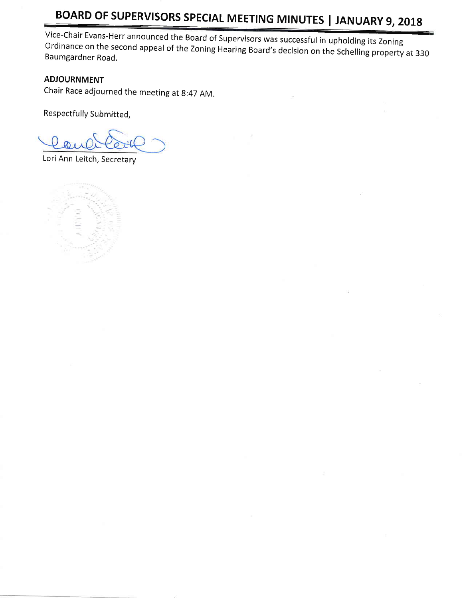# BOARD OF SUPERVISORS SPECIAL MEETING MINUTES | JANUARY 9, 2018

Vice-Chair Evans-Herr announced the Board of Supervisors was successful in upholding its Zoning Baumgard on the Ordinance on the second appeal of the Zoning Hearing Board's decision on the Schelling property at 330<br>Baumgardner Road.

## ADJOURNMENT

Chair Race adjourned the meeting at 8:47 AM.

Respectfully Submitted,

Lori Ann Leitch, Secretary